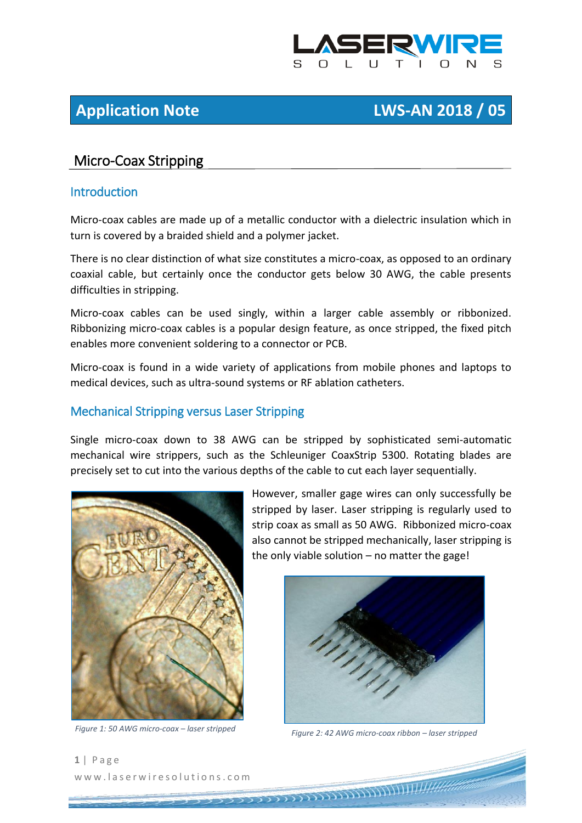

# **Application Note LWS-AN 2018 / 05**

# Micro-Coax Stripping

#### **Introduction**

Micro-coax cables are made up of a metallic conductor with a dielectric insulation which in turn is covered by a braided shield and a polymer jacket.

There is no clear distinction of what size constitutes a micro-coax, as opposed to an ordinary coaxial cable, but certainly once the conductor gets below 30 AWG, the cable presents difficulties in stripping.

Micro-coax cables can be used singly, within a larger cable assembly or ribbonized. Ribbonizing micro-coax cables is a popular design feature, as once stripped, the fixed pitch enables more convenient soldering to a connector or PCB.

Micro-coax is found in a wide variety of applications from mobile phones and laptops to medical devices, such as ultra-sound systems or RF ablation catheters.

### Mechanical Stripping versus Laser Stripping

Single micro-coax down to 38 AWG can be stripped by sophisticated semi-automatic mechanical wire strippers, such as the Schleuniger CoaxStrip 5300. Rotating blades are precisely set to cut into the various depths of the cable to cut each layer sequentially.



However, smaller gage wires can only successfully be stripped by laser. Laser stripping is regularly used to strip coax as small as 50 AWG. Ribbonized micro-coax also cannot be stripped mechanically, laser stripping is the only viable solution – no matter the gage!



*Figure 1: 50 AWG micro-coax – laser stripped Figure 2: 42 AWG micro-coax ribbon – laser stripped*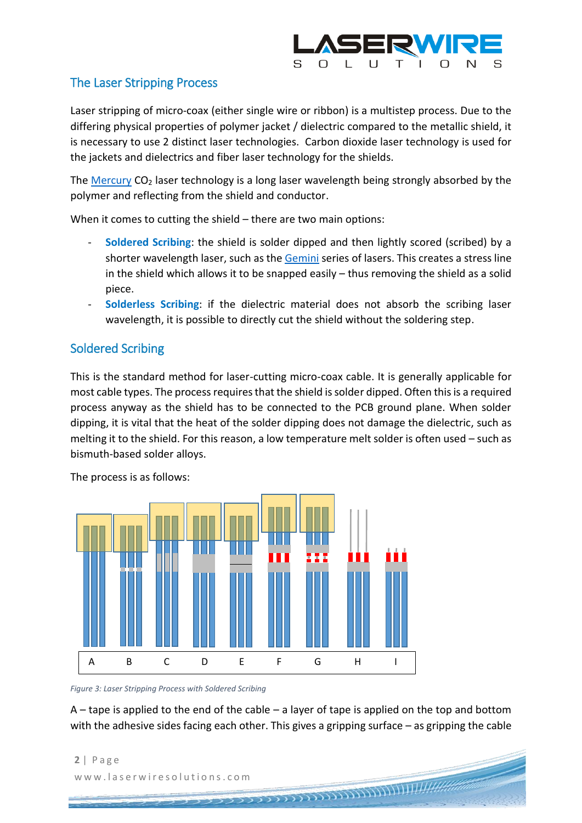

## The Laser Stripping Process

Laser stripping of micro-coax (either single wire or ribbon) is a multistep process. Due to the differing physical properties of polymer jacket / dielectric compared to the metallic shield, it is necessary to use 2 distinct laser technologies. Carbon dioxide laser technology is used for the jackets and dielectrics and fiber laser technology for the shields.

The [Mercury](http://www.laserwiresolutions.com/products/mercury-laser-wire-stripping-overview/) CO<sub>2</sub> laser technology is a long laser wavelength being strongly absorbed by the polymer and reflecting from the shield and conductor.

When it comes to cutting the shield – there are two main options:

- **Soldered Scribing**: the shield is solder dipped and then lightly scored (scribed) by a shorter wavelength laser, such as the [Gemini](http://www.laserwiresolutions.com/products/gemini-laser-shield-cutting-overview/) series of lasers. This creates a stress line in the shield which allows it to be snapped easily – thus removing the shield as a solid piece.
- **Solderless Scribing**: if the dielectric material does not absorb the scribing laser wavelength, it is possible to directly cut the shield without the soldering step.

# Soldered Scribing

This is the standard method for laser-cutting micro-coax cable. It is generally applicable for most cable types. The process requires that the shield is solder dipped. Often this is a required process anyway as the shield has to be connected to the PCB ground plane. When solder dipping, it is vital that the heat of the solder dipping does not damage the dielectric, such as melting it to the shield. For this reason, a low temperature melt solder is often used – such as bismuth-based solder alloys.



The process is as follows:

*Figure 3: Laser Stripping Process with Soldered Scribing*

A – tape is applied to the end of the cable – a layer of tape is applied on the top and bottom with the adhesive sides facing each other. This gives a gripping surface – as gripping the cable

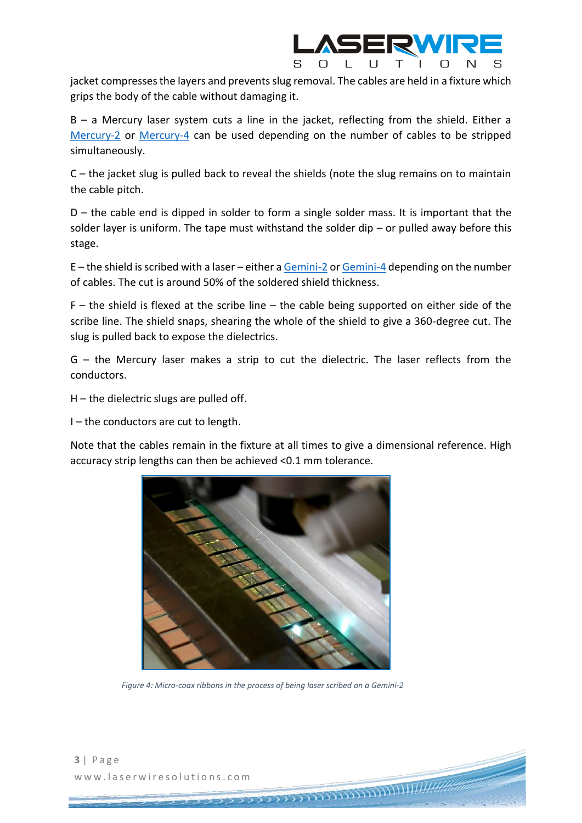

jacket compresses the layers and prevents slug removal. The cables are held in a fixture which grips the body of the cable without damaging it.

B – a Mercury laser system cuts a line in the jacket, reflecting from the shield. Either a [Mercury-2](http://www.laserwiresolutions.com/products/mercury-2-laser-wire-stripper/) or [Mercury-4](http://www.laserwiresolutions.com/products/mercury-4-laser-wire-stripper/) can be used depending on the number of cables to be stripped simultaneously.

C – the jacket slug is pulled back to reveal the shields (note the slug remains on to maintain the cable pitch.

 $D$  – the cable end is dipped in solder to form a single solder mass. It is important that the solder layer is uniform. The tape must withstand the solder dip  $-$  or pulled away before this stage.

E – the shield is scribed with a laser – either [a Gemini-2](http://www.laserwiresolutions.com/products/gemini-2-laser-shield-stripper/) o[r Gemini-4](http://www.laserwiresolutions.com/products/gemini-4-laser-shield-cutting-systems/) depending on the number of cables. The cut is around 50% of the soldered shield thickness.

 $F -$  the shield is flexed at the scribe line – the cable being supported on either side of the scribe line. The shield snaps, shearing the whole of the shield to give a 360-degree cut. The slug is pulled back to expose the dielectrics.

G – the Mercury laser makes a strip to cut the dielectric. The laser reflects from the conductors.

 $H$  – the dielectric slugs are pulled off.

 $I$  – the conductors are cut to length.

Note that the cables remain in the fixture at all times to give a dimensional reference. High accuracy strip lengths can then be achieved <0.1 mm tolerance.



*Figure 4: Micro-coax ribbons in the process of being laser scribed on a Gemini-2*